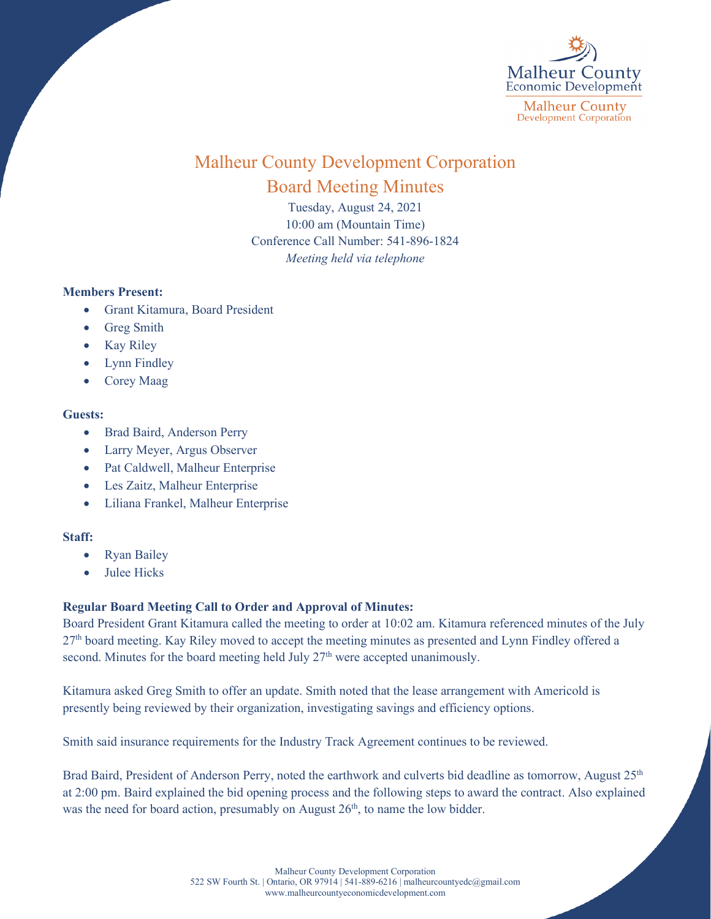

# Malheur County Development Corporation Board Meeting Minutes

Tuesday, August 24, 2021 10:00 am (Mountain Time) Conference Call Number: 541-896-1824 *Meeting held via telephone*

### **Members Present:**

- Grant Kitamura, Board President
- **Greg Smith**
- **Kay Riley**
- Lynn Findley
- Corey Maag

### **Guests:**

- Brad Baird, Anderson Perry
- Larry Meyer, Argus Observer
- Pat Caldwell, Malheur Enterprise
- Les Zaitz, Malheur Enterprise
- Liliana Frankel, Malheur Enterprise

### **Staff:**

- Ryan Bailey
- Julee Hicks

## **Regular Board Meeting Call to Order and Approval of Minutes:**

Board President Grant Kitamura called the meeting to order at 10:02 am. Kitamura referenced minutes of the July 27<sup>th</sup> board meeting. Kay Riley moved to accept the meeting minutes as presented and Lynn Findley offered a second. Minutes for the board meeting held July 27<sup>th</sup> were accepted unanimously.

Kitamura asked Greg Smith to offer an update. Smith noted that the lease arrangement with Americold is presently being reviewed by their organization, investigating savings and efficiency options.

Smith said insurance requirements for the Industry Track Agreement continues to be reviewed.

Brad Baird, President of Anderson Perry, noted the earthwork and culverts bid deadline as tomorrow, August 25<sup>th</sup> at 2:00 pm. Baird explained the bid opening process and the following steps to award the contract. Also explained was the need for board action, presumably on August 26<sup>th</sup>, to name the low bidder.